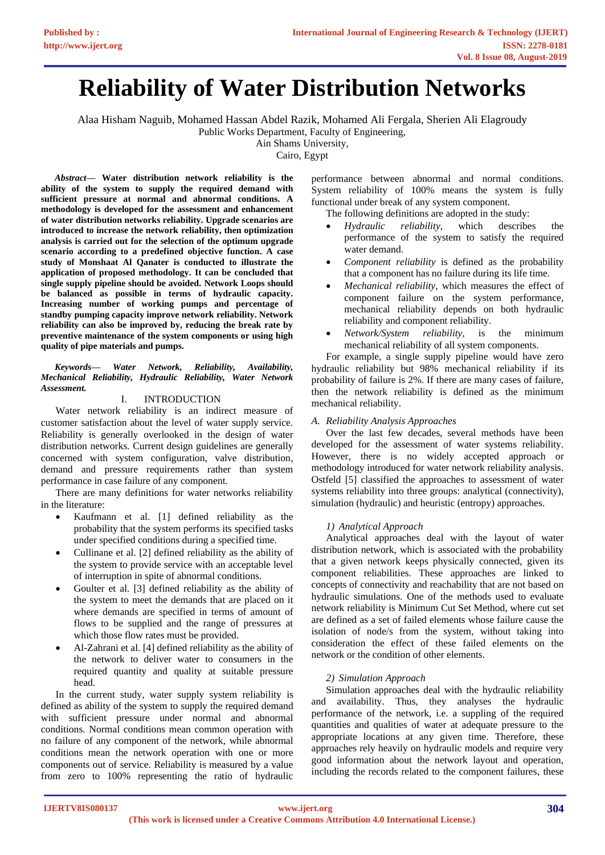# **Reliability of Water Distribution Networks**

Alaa Hisham Naguib, Mohamed Hassan Abdel Razik, Mohamed Ali Fergala, Sherien Ali Elagroudy Public Works Department, Faculty of Engineering,

Ain Shams University,

Cairo, Egypt

*Abstract***— Water distribution network reliability is the ability of the system to supply the required demand with sufficient pressure at normal and abnormal conditions. A methodology is developed for the assessment and enhancement of water distribution networks reliability. Upgrade scenarios are introduced to increase the network reliability, then optimization analysis is carried out for the selection of the optimum upgrade scenario according to a predefined objective function. A case study of Monshaat Al Qanater is conducted to illustrate the application of proposed methodology. It can be concluded that single supply pipeline should be avoided. Network Loops should be balanced as possible in terms of hydraulic capacity. Increasing number of working pumps and percentage of standby pumping capacity improve network reliability. Network reliability can also be improved by, reducing the break rate by preventive maintenance of the system components or using high quality of pipe materials and pumps.**

*Keywords— Water Network, Reliability, Availability, Mechanical Reliability, Hydraulic Reliability, Water Network Assessment.*

# I. INTRODUCTION

Water network reliability is an indirect measure of customer satisfaction about the level of water supply service. Reliability is generally overlooked in the design of water distribution networks. Current design guidelines are generally concerned with system configuration, valve distribution, demand and pressure requirements rather than system performance in case failure of any component.

There are many definitions for water networks reliability in the literature:

- Kaufmann et al. [1] defined reliability as the probability that the system performs its specified tasks under specified conditions during a specified time.
- Cullinane et al. [2] defined reliability as the ability of the system to provide service with an acceptable level of interruption in spite of abnormal conditions.
- Goulter et al. [3] defined reliability as the ability of the system to meet the demands that are placed on it where demands are specified in terms of amount of flows to be supplied and the range of pressures at which those flow rates must be provided.
- Al-Zahrani et al. [4] defined reliability as the ability of the network to deliver water to consumers in the required quantity and quality at suitable pressure head.

In the current study, water supply system reliability is defined as ability of the system to supply the required demand with sufficient pressure under normal and abnormal conditions. Normal conditions mean common operation with no failure of any component of the network, while abnormal conditions mean the network operation with one or more components out of service. Reliability is measured by a value from zero to 100% representing the ratio of hydraulic performance between abnormal and normal conditions. System reliability of 100% means the system is fully functional under break of any system component.

The following definitions are adopted in the study:

- *Hydraulic reliability,* which describes the performance of the system to satisfy the required water demand.
- *Component reliability* is defined as the probability that a component has no failure during its life time.
- *Mechanical reliability*, which measures the effect of component failure on the system performance, mechanical reliability depends on both hydraulic reliability and component reliability.
- *Network/System reliability*, is the minimum mechanical reliability of all system components.

For example, a single supply pipeline would have zero hydraulic reliability but 98% mechanical reliability if its probability of failure is 2%. If there are many cases of failure, then the network reliability is defined as the minimum mechanical reliability.

# *A. Reliability Analysis Approaches*

Over the last few decades, several methods have been developed for the assessment of water systems reliability. However, there is no widely accepted approach or methodology introduced for water network reliability analysis. Ostfeld [5] classified the approaches to assessment of water systems reliability into three groups: analytical (connectivity), simulation (hydraulic) and heuristic (entropy) approaches.

## *1) Analytical Approach*

Analytical approaches deal with the layout of water distribution network, which is associated with the probability that a given network keeps physically connected, given its component reliabilities. These approaches are linked to concepts of connectivity and reachability that are not based on hydraulic simulations. One of the methods used to evaluate network reliability is Minimum Cut Set Method, where cut set are defined as a set of failed elements whose failure cause the isolation of node/s from the system, without taking into consideration the effect of these failed elements on the network or the condition of other elements.

# *2) Simulation Approach*

Simulation approaches deal with the hydraulic reliability and availability. Thus, they analyses the hydraulic performance of the network, i.e. a suppling of the required quantities and qualities of water at adequate pressure to the appropriate locations at any given time. Therefore, these approaches rely heavily on hydraulic models and require very good information about the network layout and operation, including the records related to the component failures, these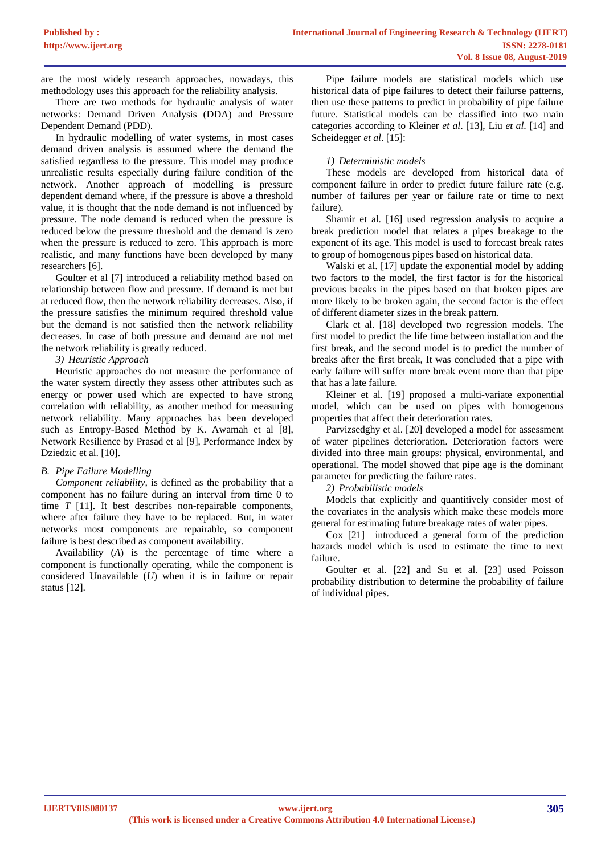are the most widely research approaches, nowadays, this methodology uses this approach for the reliability analysis.

There are two methods for hydraulic analysis of water networks: Demand Driven Analysis (DDA) and Pressure Dependent Demand (PDD).

In hydraulic modelling of water systems, in most cases demand driven analysis is assumed where the demand the satisfied regardless to the pressure. This model may produce unrealistic results especially during failure condition of the network. Another approach of modelling is pressure dependent demand where, if the pressure is above a threshold value, it is thought that the node demand is not influenced by pressure. The node demand is reduced when the pressure is reduced below the pressure threshold and the demand is zero when the pressure is reduced to zero. This approach is more realistic, and many functions have been developed by many researchers [6].

Goulter et al [7] introduced a reliability method based on relationship between flow and pressure. If demand is met but at reduced flow, then the network reliability decreases. Also, if the pressure satisfies the minimum required threshold value but the demand is not satisfied then the network reliability decreases. In case of both pressure and demand are not met the network reliability is greatly reduced.

## *3) Heuristic Approach*

Heuristic approaches do not measure the performance of the water system directly they assess other attributes such as energy or power used which are expected to have strong correlation with reliability, as another method for measuring network reliability. Many approaches has been developed such as Entropy-Based Method by K. Awamah et al [8], Network Resilience by Prasad et al [9], Performance Index by Dziedzic et al. [10].

#### *B. Pipe Failure Modelling*

*Component reliability,* is defined as the probability that a component has no failure during an interval from time 0 to time *T* [11]. It best describes non-repairable components, where after failure they have to be replaced. But, in water networks most components are repairable, so component failure is best described as component availability.

Availability (*A*) is the percentage of time where a component is functionally operating, while the component is considered Unavailable (*U*) when it is in failure or repair status [12].

Pipe failure models are statistical models which use historical data of pipe failures to detect their failurse patterns, then use these patterns to predict in probability of pipe failure future. Statistical models can be classified into two main categories according to Kleiner *et al*. [13], Liu *et al*. [14] and Scheidegger *et al*. [15]:

# *1) Deterministic models*

These models are developed from historical data of component failure in order to predict future failure rate (e.g. number of failures per year or failure rate or time to next failure).

Shamir et al. [16] used regression analysis to acquire a break prediction model that relates a pipes breakage to the exponent of its age. This model is used to forecast break rates to group of homogenous pipes based on historical data.

Walski et al. [17] update the exponential model by adding two factors to the model, the first factor is for the historical previous breaks in the pipes based on that broken pipes are more likely to be broken again, the second factor is the effect of different diameter sizes in the break pattern.

Clark et al. [18] developed two regression models. The first model to predict the life time between installation and the first break, and the second model is to predict the number of breaks after the first break, It was concluded that a pipe with early failure will suffer more break event more than that pipe that has a late failure.

Kleiner et al. [19] proposed a multi-variate exponential model, which can be used on pipes with homogenous properties that affect their deterioration rates.

Parvizsedghy et al. [20] developed a model for assessment of water pipelines deterioration. Deterioration factors were divided into three main groups: physical, environmental, and operational. The model showed that pipe age is the dominant parameter for predicting the failure rates.

*2) Probabilistic models*

Models that explicitly and quantitively consider most of the covariates in the analysis which make these models more general for estimating future breakage rates of water pipes.

Cox [21] introduced a general form of the prediction hazards model which is used to estimate the time to next failure.

Goulter et al. [22] and Su et al. [23] used Poisson probability distribution to determine the probability of failure of individual pipes.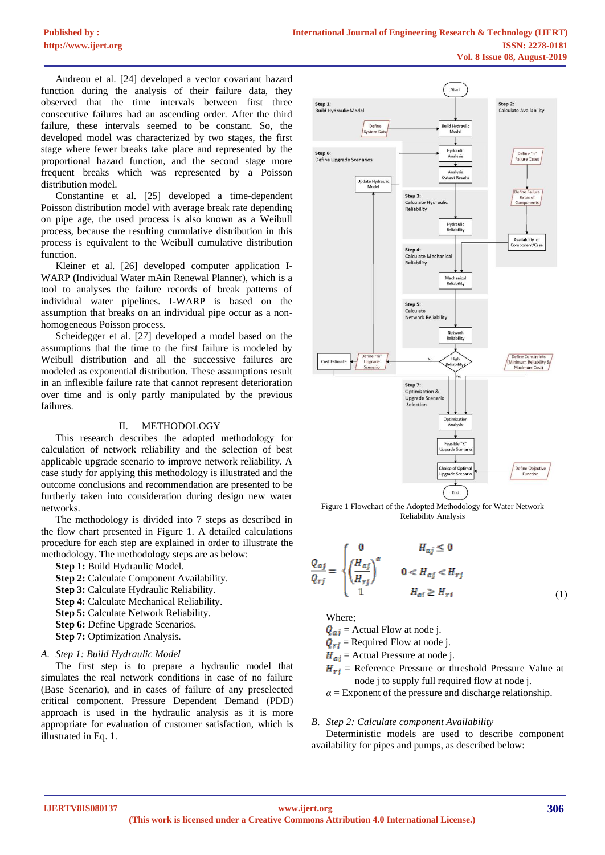Andreou et al. [24] developed a vector covariant hazard function during the analysis of their failure data, they observed that the time intervals between first three consecutive failures had an ascending order. After the third failure, these intervals seemed to be constant. So, the developed model was characterized by two stages, the first stage where fewer breaks take place and represented by the proportional hazard function, and the second stage more frequent breaks which was represented by a Poisson distribution model.

Constantine et al. [25] developed a time-dependent Poisson distribution model with average break rate depending on pipe age, the used process is also known as a Weibull process, because the resulting cumulative distribution in this process is equivalent to the Weibull cumulative distribution function.

Kleiner et al. [26] developed computer application I-WARP (Individual Water mAin Renewal Planner), which is a tool to analyses the failure records of break patterns of individual water pipelines. I-WARP is based on the assumption that breaks on an individual pipe occur as a nonhomogeneous Poisson process.

Scheidegger et al. [27] developed a model based on the assumptions that the time to the first failure is modeled by Weibull distribution and all the successive failures are modeled as exponential distribution. These assumptions result in an inflexible failure rate that cannot represent deterioration over time and is only partly manipulated by the previous failures.

#### II. METHODOLOGY

This research describes the adopted methodology for calculation of network reliability and the selection of best applicable upgrade scenario to improve network reliability. A case study for applying this methodology is illustrated and the outcome conclusions and recommendation are presented to be furtherly taken into consideration during design new water networks.

The methodology is divided into 7 steps as described in the flow chart presented in [Figure 1.](#page-2-0) A detailed calculations procedure for each step are explained in order to illustrate the methodology. The methodology steps are as below:

**Step 1:** Build Hydraulic Model.

- **Step 2:** Calculate Component Availability.
- **Step 3:** Calculate Hydraulic Reliability.
- **Step 4:** Calculate Mechanical Reliability.
- **Step 5:** Calculate Network Reliability.
- **Step 6:** Define Upgrade Scenarios.
- **Step 7:** Optimization Analysis.

#### *A. Step 1: Build Hydraulic Model*

The first step is to prepare a hydraulic model that simulates the real network conditions in case of no failure (Base Scenario), and in cases of failure of any preselected critical component. Pressure Dependent Demand (PDD) approach is used in the hydraulic analysis as it is more appropriate for evaluation of customer satisfaction, which is illustrated in Eq. 1.



<span id="page-2-0"></span>Figure 1 Flowchart of the Adopted Methodology for Water Network Reliability Analysis

$$
\frac{Q_{aj}}{Q_{rj}} = \begin{cases} 0 & H_{aj} \le 0\\ \left(\frac{H_{aj}}{H_{rj}}\right)^{\alpha} & 0 < H_{aj} < H_{rj} \\ 1 & H_{ai} \ge H_{ri} \end{cases}
$$
(1)

Where;

- $Q_{ai}$  = Actual Flow at node j.
- $Q_{ri}$  = Required Flow at node j.
- $H_{ai}$  = Actual Pressure at node j.
- $H_{ri}$  = Reference Pressure or threshold Pressure Value at node j to supply full required flow at node j.

 $\alpha$  = Exponent of the pressure and discharge relationship.

#### *B. Step 2: Calculate component Availability*

Deterministic models are used to describe component availability for pipes and pumps, as described below: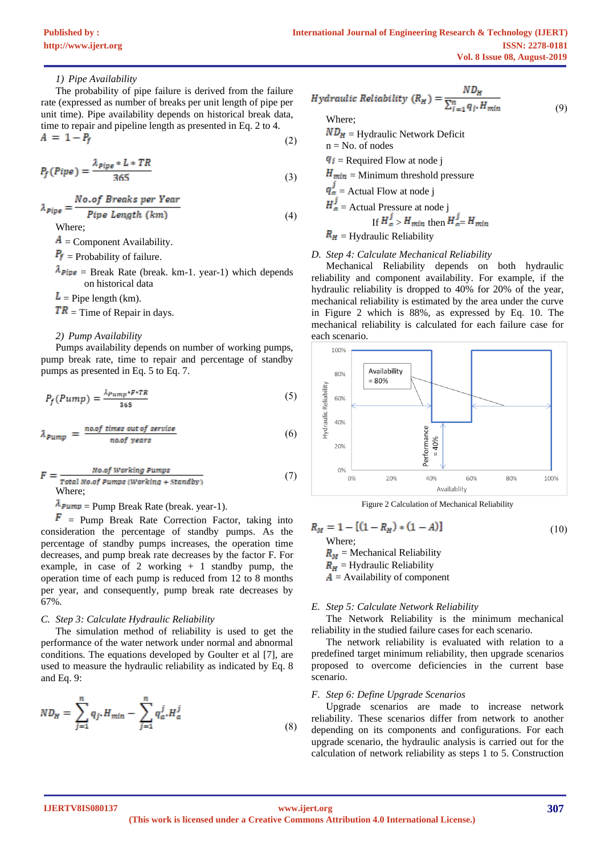## *1) Pipe Availability*

The probability of pipe failure is derived from the failure rate (expressed as number of breaks per unit length of pipe per unit time). Pipe availability depends on historical break data, time to repair and pipeline length as presented in Eq. 2 to 4.  $A = 1 - P_f$  $(2)$ 

$$
P_f(Pipe) = \frac{\lambda_{pipe} * L * TR}{365}
$$
 (3)

$$
\lambda_{pipe} = \frac{No.of \text{ Breaks per Year}}{Pipe \text{ Length } (km)}\tag{4}
$$

Where;

 $\mathbf{A}$  = Component Availability.

 $P_f$  = Probability of failure.

 $\lambda_{\text{Pipe}}$  = Break Rate (break. km-1. year-1) which depends on historical data

 $L =$  Pipe length (km).

 $TR$  = Time of Repair in days.

#### *2) Pump Availability*

Pumps availability depends on number of working pumps, pump break rate, time to repair and percentage of standby pumps as presented in Eq. 5 to Eq. 7.

$$
P_f(Pump) = \frac{\lambda_{Pump} \cdot F \cdot TR}{365} \tag{5}
$$

$$
\lambda_{pump} = \frac{no.of \ times \ out \ of \ service}{no.of \ years} \tag{6}
$$

$$
F = \frac{No.of Working Pumps}{Total No.of Pumps (Working + Standby)}
$$
 (7)  
Where;

 $\lambda_{\text{Pump}}$  = Pump Break Rate (break. year-1).

 $\mathbf{F}$  = Pump Break Rate Correction Factor, taking into consideration the percentage of standby pumps. As the percentage of standby pumps increases, the operation time decreases, and pump break rate decreases by the factor F. For example, in case of 2 working  $+1$  standby pump, the operation time of each pump is reduced from 12 to 8 months per year, and consequently, pump break rate decreases by 67%.

#### *C. Step 3: Calculate Hydraulic Reliability*

The simulation method of reliability is used to get the performance of the water network under normal and abnormal conditions. The equations developed by Goulter et al [7], are used to measure the hydraulic reliability as indicated by Eq. 8 and Eq. 9:

$$
ND_{H} = \sum_{j=1}^{n} q_{j}.H_{min} - \sum_{j=1}^{n} q_{a}.H_{a}^{j}
$$
\n(8)

$$
Hydraulic Reliability (RH) = \frac{NDH}{\sum_{i=1}^{n} q_i. H_{min}}
$$
 (9)

 $ND_H$  = Hydraulic Network Deficit

 $n = No$ . of nodes

 $\overline{q_i}$  = Required Flow at node j

 $H_{min}$  = Minimum threshold pressure

 $q_a$  = Actual Flow at node j

$$
H_a^j = \text{Actual Pressure at node } j
$$
  
If  $H_a^j > H_{min}$  then  $H_a^j = H_{min}$ 

 $R_H$  = Hydraulic Reliability

## *D. Step 4: Calculate Mechanical Reliability*

Mechanical Reliability depends on both hydraulic reliability and component availability. For example, if the hydraulic reliability is dropped to 40% for 20% of the year, mechanical reliability is estimated by the area under the curve in [Figure 2](#page-3-0) which is 88%, as expressed by Eq. 10. The mechanical reliability is calculated for each failure case for each scenario.



Figure 2 Calculation of Mechanical Reliability

<span id="page-3-0"></span> $R_M = 1 - [(1 - R_H) * (1 - A)]$  $(10)$ Where;  $R_M$  = Mechanical Reliability  $R_H$  = Hydraulic Reliability

 $\mathbf{A}$  = Availability of component

#### *E. Step 5: Calculate Network Reliability*

The Network Reliability is the minimum mechanical reliability in the studied failure cases for each scenario.

The network reliability is evaluated with relation to a predefined target minimum reliability, then upgrade scenarios proposed to overcome deficiencies in the current base scenario.

#### *F. Step 6: Define Upgrade Scenarios*

Upgrade scenarios are made to increase network reliability. These scenarios differ from network to another depending on its components and configurations. For each upgrade scenario, the hydraulic analysis is carried out for the calculation of network reliability as steps 1 to 5. Construction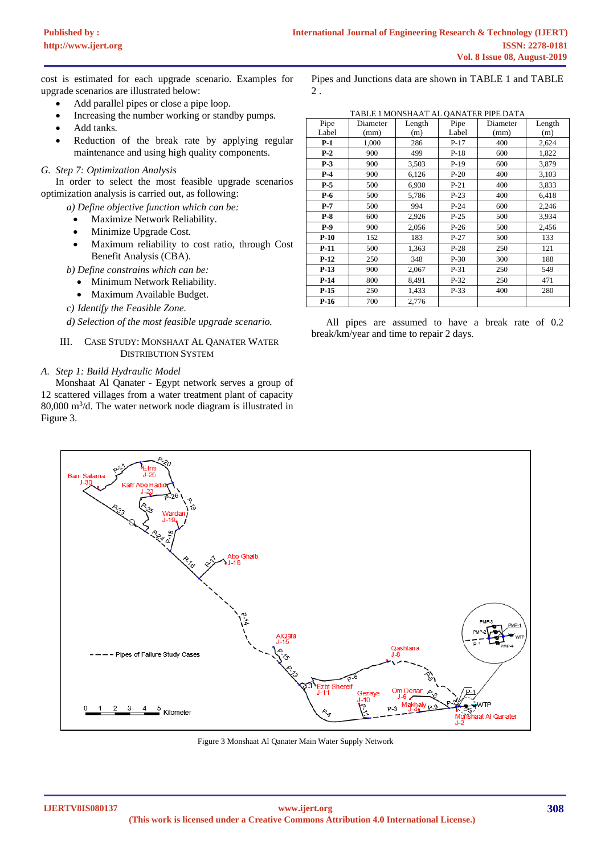cost is estimated for each upgrade scenario. Examples for upgrade scenarios are illustrated below:

- Add parallel pipes or close a pipe loop.
- Increasing the number working or standby pumps.
- Add tanks.
- Reduction of the break rate by applying regular maintenance and using high quality components.

### *G. Step 7: Optimization Analysis*

In order to select the most feasible upgrade scenarios optimization analysis is carried out, as following:

*a) Define objective function which can be:*

- Maximize Network Reliability.
- Minimize Upgrade Cost.
- Maximum reliability to cost ratio, through Cost Benefit Analysis (CBA).

*b) Define constrains which can be:*

- Minimum Network Reliability.
- Maximum Available Budget.

*c) Identify the Feasible Zone.*

*d) Selection of the most feasible upgrade scenario.*

### III. CASE STUDY: MONSHAAT AL QANATER WATER DISTRIBUTION SYSTEM

## *A. Step 1: Build Hydraulic Model*

Monshaat Al Qanater - Egypt network serves a group of 12 scattered villages from a water treatment plant of capacity 80,000 m<sup>3</sup> /d. The water network node diagram is illustrated in [Figure 3.](#page-4-0)

|       |          |        |        | TABLE 1 MONSHAAT AL QANATER PIPE DATA |        |
|-------|----------|--------|--------|---------------------------------------|--------|
| Pipe  | Diameter | Length | Pipe   | Diameter                              | Length |
| Label | (mm)     | (m)    | Label  | (mm)                                  | (m)    |
| $P-1$ | 1,000    | 286    | $P-17$ | 400                                   | 2,624  |
| $P-2$ | 900      | 499    | $P-18$ | 600                                   | 1,822  |
| $P-3$ | 900      | 3,503  | $P-19$ | 600                                   | 3,879  |
| $P-4$ | 900      | 6,126  | $P-20$ | 400                                   | 3,103  |
|       |          |        |        |                                       |        |

Pipes and Junctions data are shown in TABLE 1 and TABLE

| $P-4$  | 900 | 6,126 | $P-20$ | 400 | 3,103 |
|--------|-----|-------|--------|-----|-------|
| $P-5$  | 500 | 6.930 | $P-21$ | 400 | 3,833 |
| $P-6$  | 500 | 5,786 | $P-23$ | 400 | 6,418 |
| $P-7$  | 500 | 994   | $P-24$ | 600 | 2,246 |
| $P-8$  | 600 | 2,926 | $P-25$ | 500 | 3,934 |
| $P-9$  | 900 | 2.056 | $P-26$ | 500 | 2,456 |
| $P-10$ | 152 | 183   | $P-27$ | 500 | 133   |
| $P-11$ | 500 | 1,363 | $P-28$ | 250 | 121   |
| $P-12$ | 250 | 348   | $P-30$ | 300 | 188   |
| $P-13$ | 900 | 2.067 | $P-31$ | 250 | 549   |
| $P-14$ | 800 | 8,491 | $P-32$ | 250 | 471   |
| $P-15$ | 250 | 1,433 | $P-33$ | 400 | 280   |
| $P-16$ | 700 | 2.776 |        |     |       |

All pipes are assumed to have a break rate of 0.2 break/km/year and time to repair 2 days.



<span id="page-4-0"></span>Figure 3 Monshaat Al Qanater Main Water Supply Network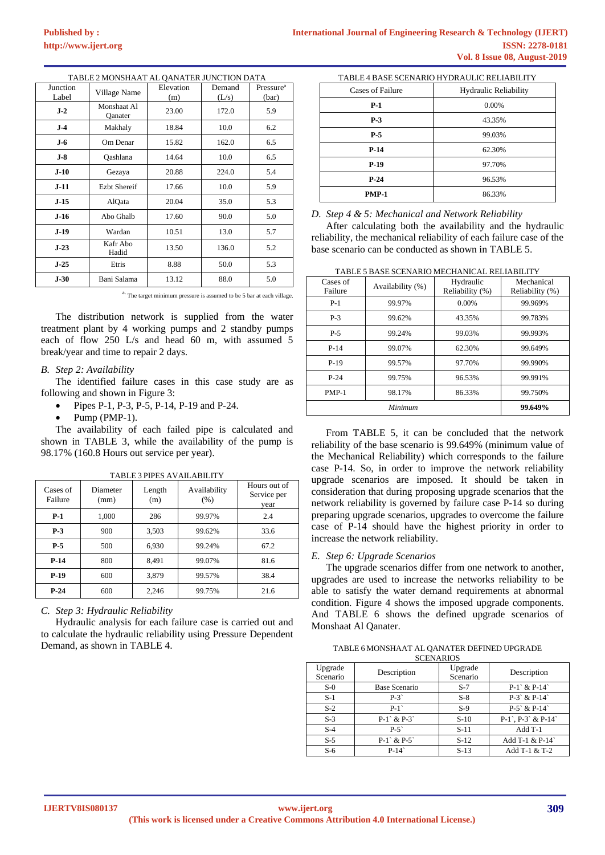|  | TABLE 2 MONSHAAT AL OANATER JUNCTION DATA |
|--|-------------------------------------------|
|--|-------------------------------------------|

| Junction<br>Label | Village Name           | Elevation<br>(m) | Demand<br>(L/s) | Pressure <sup>a</sup><br>(bar) |
|-------------------|------------------------|------------------|-----------------|--------------------------------|
| $J-2$             | Monshaat Al<br>Qanater | 23.00            | 172.0           | 5.9                            |
| $J-4$             | Makhaly                | 18.84            | 10.0            | 6.2                            |
| <b>J-6</b>        | Om Denar               | 15.82            | 162.0           | 6.5                            |
| $J-8$             | Oashlana               | 14.64            | 10.0            | 6.5                            |
| $J-10$            | Gezaya                 | 20.88            | 224.0           | 5.4                            |
| $J-11$            | <b>Ezht Shereif</b>    | 17.66            | 10.0            | 5.9                            |
| $J-15$            | AlQata                 | 20.04            | 35.0            | 5.3                            |
| $J-16$            | Abo Ghalb              | 17.60            | 90.0            | 5.0                            |
| $J-19$            | Wardan                 | 10.51            | 13.0            | 5.7                            |
| $J-23$            | Kafr Abo<br>Hadid      | 13.50            | 136.0           | 5.2                            |
| $J-25$            | Etris                  | 8.88             | 50.0            | 5.3                            |
| $J-30$            | Bani Salama            | 13.12            | 88.0            | 5.0                            |

<sup>a.</sup> The target minimum pressure is assumed to be 5 bar at each village.

The distribution network is supplied from the water treatment plant by 4 working pumps and 2 standby pumps each of flow 250 L/s and head 60 m, with assumed 5 break/year and time to repair 2 days.

#### *B. Step 2: Availability*

The identified failure cases in this case study are as following and shown in [Figure 3:](#page-4-0)

- Pipes P-1, P-3, P-5, P-14, P-19 and P-24.
- Pump (PMP-1).

The availability of each failed pipe is calculated and shown in [TABLE 3,](#page-5-0) while the availability of the pump is 98.17% (160.8 Hours out service per year).

<span id="page-5-0"></span>

| Cases of<br>Failure | Diameter<br>(mm) | Length<br>(m) | Availability<br>(% ) | Hours out of<br>Service per<br>vear |
|---------------------|------------------|---------------|----------------------|-------------------------------------|
| $P-1$               | 1,000            | 286           | 99.97%               | 2.4                                 |
| $P-3$               | 900              | 3,503         | 99.62%               | 33.6                                |
| $P-5$               | 500              | 6,930         | 99.24%               | 67.2                                |
| $P-14$              | 800              | 8,491         | 99.07%               | 81.6                                |
| $P-19$              | 600              | 3,879         | 99.57%               | 38.4                                |
| $P-24$              | 600              | 2,246         | 99.75%               | 21.6                                |

TABLE 3 PIPES AVAILABILITY

*C. Step 3: Hydraulic Reliability*

Hydraulic analysis for each failure case is carried out and to calculate the hydraulic reliability using Pressure Dependent Demand, as shown in [TABLE 4.](#page-5-1)

<span id="page-5-1"></span>

| TABLE 4 BASE SCENARIO HYDRAULIC RELIABILITY |                              |  |  |  |  |
|---------------------------------------------|------------------------------|--|--|--|--|
| Cases of Failure                            | <b>Hydraulic Reliability</b> |  |  |  |  |
| $P-1$                                       | 0.00%                        |  |  |  |  |
| $P-3$                                       | 43.35%                       |  |  |  |  |
| $P-5$                                       | 99.03%                       |  |  |  |  |
| $P-14$                                      | 62.30%                       |  |  |  |  |
| $P-19$                                      | 97.70%                       |  |  |  |  |
| $P-24$                                      | 96.53%                       |  |  |  |  |
| <b>PMP-1</b>                                | 86.33%                       |  |  |  |  |

*D. Step 4 & 5: Mechanical and Network Reliability*

After calculating both the availability and the hydraulic reliability, the mechanical reliability of each failure case of the base scenario can be conducted as shown in [TABLE 5.](#page-5-2)

TABLE 5 BASE SCENARIO MECHANICAL RELIABILITY

<span id="page-5-2"></span>

| Cases of<br>Failure | Availability (%) | Hydraulic<br>Reliability (%) | Mechanical<br>Reliability (%) |
|---------------------|------------------|------------------------------|-------------------------------|
| $P-1$               | 99.97%           | $0.00\%$                     | 99.969%                       |
| $P-3$               | 99.62%           | 43.35%                       | 99.783%                       |
| $P-5$               | 99.24%           | 99.03%                       | 99.993%                       |
| $P-14$              | 99.07%           | 62.30%                       | 99.649%                       |
| $P-19$              | 99.57%           | 97.70%                       | 99.990%                       |
| $P-24$              | 99.75%           | 96.53%                       | 99.991%                       |
| $PMP-1$             | 98.17%           | 86.33%                       | 99.750%                       |
|                     | Minimum          |                              | 99.649%                       |

From [TABLE 5,](#page-5-2) it can be concluded that the network reliability of the base scenario is 99.649% (minimum value of the Mechanical Reliability) which corresponds to the failure case P-14. So, in order to improve the network reliability upgrade scenarios are imposed. It should be taken in consideration that during proposing upgrade scenarios that the network reliability is governed by failure case P-14 so during preparing upgrade scenarios, upgrades to overcome the failure case of P-14 should have the highest priority in order to increase the network reliability.

#### *E. Step 6: Upgrade Scenarios*

The upgrade scenarios differ from one network to another, upgrades are used to increase the networks reliability to be able to satisfy the water demand requirements at abnormal condition. [Figure 4](#page-6-0) shows the imposed upgrade components. And [TABLE 6](#page-5-3) shows the defined upgrade scenarios of Monshaat Al Qanater.

<span id="page-5-3"></span>TABLE 6 MONSHAAT AL QANATER DEFINED UPGRADE **SCENARIOS** 

|                     | -----------   |                     |                        |
|---------------------|---------------|---------------------|------------------------|
| Upgrade<br>Scenario | Description   | Upgrade<br>Scenario | Description            |
| $S-0$               | Base Scenario | $S-7$               | $P-1$ & $P-14$         |
| $S-1$               | $P-3$         | $S-8$               | $P-3$ & $P-14$         |
| $S-2$               | $P-1$         | $S-9$               | $P-5$ & $P-14$         |
| $S-3$               | $P-1$ & $P-3$ | $S-10$              | $P-1$ , $P-3$ & $P-14$ |
| $S-4$               | $P-5$         | $S-11$              | $Add T-1$              |
| $S-5$               | $P-1$ & $P-5$ | $S-12$              | Add T-1 & P-14         |
| $S-6$               | $P-14$        | $S-13$              | Add T-1 & T-2          |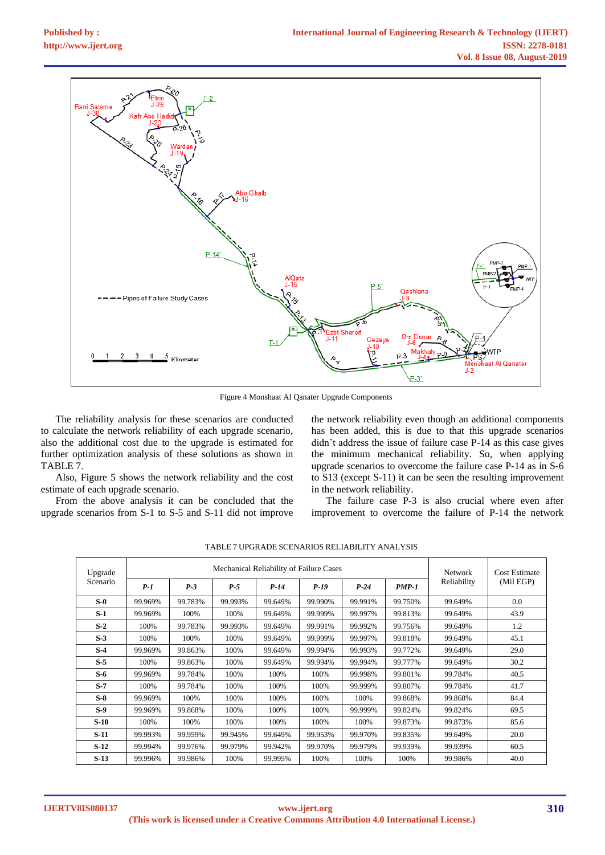

Figure 4 Monshaat Al Qanater Upgrade Components

<span id="page-6-0"></span>The reliability analysis for these scenarios are conducted to calculate the network reliability of each upgrade scenario, also the additional cost due to the upgrade is estimated for further optimization analysis of these solutions as shown in [TABLE 7.](#page-6-1)

Also, [Figure 5](#page-7-0) shows the network reliability and the cost estimate of each upgrade scenario.

From the above analysis it can be concluded that the upgrade scenarios from S-1 to S-5 and S-11 did not improve

the network reliability even though an additional components has been added, this is due to that this upgrade scenarios didn't address the issue of failure case P-14 as this case gives the minimum mechanical reliability. So, when applying upgrade scenarios to overcome the failure case P-14 as in S-6 to S13 (except S-11) it can be seen the resulting improvement in the network reliability.

The failure case P-3 is also crucial where even after improvement to overcome the failure of P-14 the network

<span id="page-6-1"></span>

| Mechanical Reliability of Failure Cases<br>Upgrade |         |         |         |         |         |         | <b>Network</b> | Cost Estimate |           |
|----------------------------------------------------|---------|---------|---------|---------|---------|---------|----------------|---------------|-----------|
| Scenario                                           | $P-1$   | $P-3$   | $P-5$   | $P-14$  | $P-19$  | $P-24$  | $PMP-1$        | Reliability   | (Mil EGP) |
| $S-0$                                              | 99.969% | 99.783% | 99.993% | 99.649% | 99.990% | 99.991% | 99.750%        | 99.649%       | 0.0       |
| $S-1$                                              | 99.969% | 100%    | 100%    | 99.649% | 99.999% | 99.997% | 99.813%        | 99.649%       | 43.9      |
| $S-2$                                              | 100%    | 99.783% | 99.993% | 99.649% | 99.991% | 99.992% | 99.756%        | 99.649%       | 1.2       |
| $S-3$                                              | 100%    | 100%    | 100%    | 99.649% | 99.999% | 99.997% | 99.818%        | 99.649%       | 45.1      |
| $S-4$                                              | 99.969% | 99.863% | 100%    | 99.649% | 99.994% | 99.993% | 99.772%        | 99.649%       | 29.0      |
| $S-5$                                              | 100%    | 99.863% | 100%    | 99.649% | 99.994% | 99.994% | 99.777%        | 99.649%       | 30.2      |
| $S-6$                                              | 99.969% | 99.784% | 100%    | 100%    | 100%    | 99.998% | 99.801%        | 99.784%       | 40.5      |
| $S-7$                                              | 100%    | 99.784% | 100%    | 100%    | 100%    | 99.999% | 99.807%        | 99.784%       | 41.7      |
| $S-8$                                              | 99.969% | 100%    | 100%    | 100%    | 100%    | 100%    | 99.868%        | 99.868%       | 84.4      |
| $S-9$                                              | 99.969% | 99.868% | 100%    | 100%    | 100%    | 99.999% | 99.824%        | 99.824%       | 69.5      |
| $S-10$                                             | 100%    | 100%    | 100%    | 100%    | 100%    | 100%    | 99.873%        | 99.873%       | 85.6      |
| $S-11$                                             | 99.993% | 99.959% | 99.945% | 99.649% | 99.953% | 99.970% | 99.835%        | 99.649%       | 20.0      |
| $S-12$                                             | 99.994% | 99.976% | 99.979% | 99.942% | 99.970% | 99.979% | 99.939%        | 99.939%       | 60.5      |
| $S-13$                                             | 99.996% | 99.986% | 100%    | 99.995% | 100%    | 100%    | 100%           | 99.986%       | 40.0      |

TABLE 7 UPGRADE SCENARIOS RELIABILITY ANALYSIS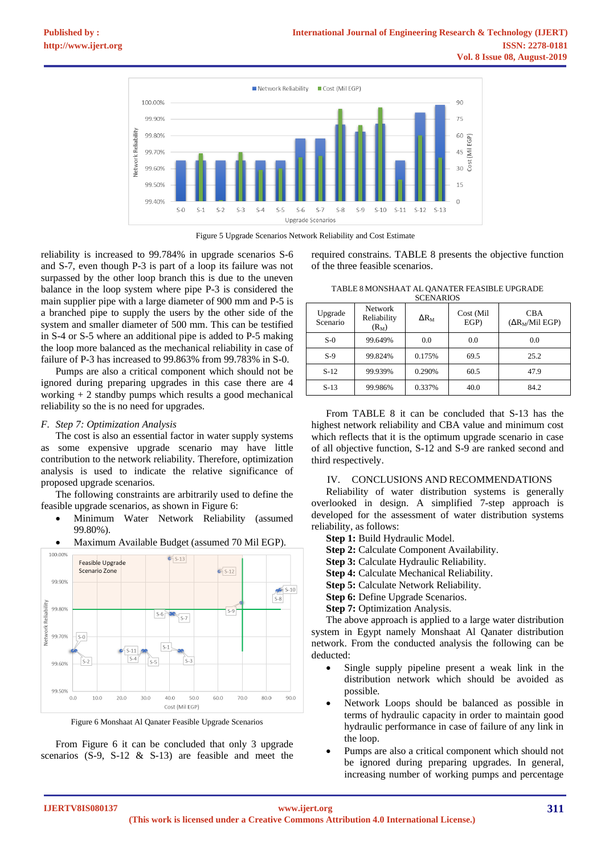



<span id="page-7-0"></span>reliability is increased to 99.784% in upgrade scenarios S-6 and S-7, even though P-3 is part of a loop its failure was not surpassed by the other loop branch this is due to the uneven balance in the loop system where pipe P-3 is considered the main supplier pipe with a large diameter of 900 mm and P-5 is a branched pipe to supply the users by the other side of the system and smaller diameter of 500 mm. This can be testified in S-4 or S-5 where an additional pipe is added to P-5 making the loop more balanced as the mechanical reliability in case of failure of P-3 has increased to 99.863% from 99.783% in S-0.

Pumps are also a critical component which should not be ignored during preparing upgrades in this case there are 4 working + 2 standby pumps which results a good mechanical reliability so the is no need for upgrades.

### *F. Step 7: Optimization Analysis*

The cost is also an essential factor in water supply systems as some expensive upgrade scenario may have little contribution to the network reliability. Therefore, optimization analysis is used to indicate the relative significance of proposed upgrade scenarios.

The following constraints are arbitrarily used to define the feasible upgrade scenarios, as shown i[n Figure 6:](#page-7-1)

- Minimum Water Network Reliability (assumed 99.80%).
- Maximum Available Budget (assumed 70 Mil EGP).



Figure 6 Monshaat Al Qanater Feasible Upgrade Scenarios

<span id="page-7-1"></span>From [Figure 6](#page-7-1) it can be concluded that only 3 upgrade scenarios (S-9, S-12 & S-13) are feasible and meet the <span id="page-7-2"></span>required constrains. [TABLE 8](#page-7-2) presents the objective function of the three feasible scenarios.

| TABLE 8 MONSHAAT AL QANATER FEASIBLE UPGRADE |  |
|----------------------------------------------|--|
| <b>SCENARIOS</b>                             |  |

| 90 J J J J J J J J J J |                                          |              |                  |                                      |  |  |  |
|------------------------|------------------------------------------|--------------|------------------|--------------------------------------|--|--|--|
| Upgrade<br>Scenario    | <b>Network</b><br>Reliability<br>$(R_M)$ | $\Delta R_M$ | Cost (Mil<br>EGP | <b>CBA</b><br>$(\Delta R_M/Mil EGP)$ |  |  |  |
| $S-0$                  | 99.649%                                  | 0.0          | 0.0              | 0.0                                  |  |  |  |
| $S-9$                  | 99.824%                                  | 0.175%       | 69.5             | 25.2                                 |  |  |  |
| $S-12$                 | 99.939%                                  | 0.290%       | 60.5             | 47.9                                 |  |  |  |
| $S-13$                 | 99.986%                                  | 0.337%       | 40.0             | 84.2                                 |  |  |  |

From [TABLE 8](#page-7-2) it can be concluded that S-13 has the highest network reliability and CBA value and minimum cost which reflects that it is the optimum upgrade scenario in case of all objective function, S-12 and S-9 are ranked second and third respectively.

### IV. CONCLUSIONS AND RECOMMENDATIONS

Reliability of water distribution systems is generally overlooked in design. A simplified 7-step approach is developed for the assessment of water distribution systems reliability, as follows:

**Step 1:** Build Hydraulic Model.

**Step 2:** Calculate Component Availability.

**Step 3:** Calculate Hydraulic Reliability.

**Step 4:** Calculate Mechanical Reliability.

**Step 5:** Calculate Network Reliability.

**Step 6:** Define Upgrade Scenarios.

**Step 7:** Optimization Analysis.

The above approach is applied to a large water distribution system in Egypt namely Monshaat Al Qanater distribution network. From the conducted analysis the following can be deducted:

- Single supply pipeline present a weak link in the distribution network which should be avoided as possible.
- Network Loops should be balanced as possible in terms of hydraulic capacity in order to maintain good hydraulic performance in case of failure of any link in the loop.
- Pumps are also a critical component which should not be ignored during preparing upgrades. In general, increasing number of working pumps and percentage